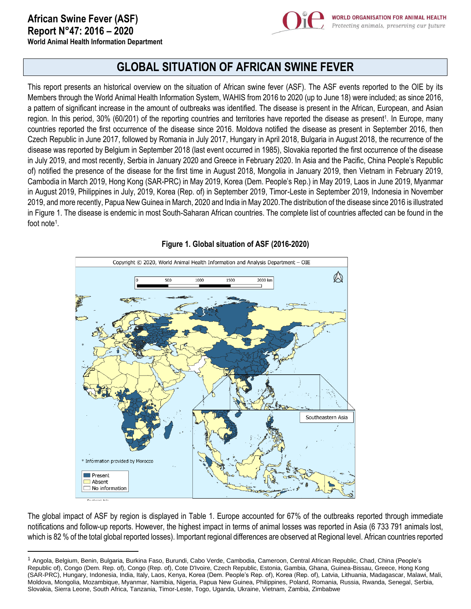

# **GLOBAL SITUATION OF AFRICAN SWINE FEVER**

This report presents an historical overview on the situation of African swine fever (ASF). The ASF events reported to the OIE by its Members through the World Animal Health Information System, WAHIS from 2016 to 2020 (up to June 18) were included; as since 2016, a pattern of significant increase in the amount of outbreaks was identified. The disease is present in the African, European, and Asian region. In this period, 30% (60/201) of the reporting countries and territories have reported the disease as present<sup>1</sup>. In Europe, many countries reported the first occurrence of the disease since 2016. Moldova notified the disease as present in September 2016, then Czech Republic in June 2017, followed by Romania in July 2017, Hungary in April 2018, Bulgaria in August 2018, the recurrence of the disease was reported by Belgium in September 2018 (last event occurred in 1985), Slovakia reported the first occurrence of the disease in July 2019, and most recently, Serbia in January 2020 and Greece in February 2020. In Asia and the Pacific, China People's Republic of) notified the presence of the disease for the first time in August 2018, Mongolia in January 2019, then Vietnam in February 2019, Cambodia in March 2019, Hong Kong (SAR-PRC) in May 2019, Korea (Dem. People's Rep.) in May 2019, Laos in June 2019, Myanmar in August 2019, Philippines in July, 2019, Korea (Rep. of) in September 2019, Timor-Leste in September 2019, Indonesia in November 2019, and more recently, Papua New Guinea in March, 2020 and India in May 2020.The distribution of the disease since 2016 is illustrated in Figure 1. The disease is endemic in most South-Saharan African countries. The complete list of countries affected can be found in the foot note<sup>1</sup>.



## **Figure 1. Global situation of ASF (2016-2020)**

The global impact of ASF by region is displayed in Table 1. Europe accounted for 67% of the outbreaks reported through immediate notifications and follow-up reports. However, the highest impact in terms of animal losses was reported in Asia (6 733 791 animals lost, which is 82 % of the total global reported losses). Important regional differences are observed at Regional level. African countries reported

<sup>1</sup> Angola, Belgium, Benin, Bulgaria, Burkina Faso, Burundi, Cabo Verde, Cambodia, Cameroon, Central African Republic, Chad, China (People's Republic of), Congo (Dem. Rep. of), Congo (Rep. of), Cote D'Ivoire, Czech Republic, Estonia, Gambia, Ghana, Guinea-Bissau, Greece, Hong Kong (SAR-PRC), Hungary, Indonesia, India, Italy, Laos, Kenya, Korea (Dem. People's Rep. of), Korea (Rep. of), Latvia, Lithuania, Madagascar, Malawi, Mali, Moldova, Mongolia, Mozambique, Myanmar, Namibia, Nigeria, Papua New Guinea, Philippines, Poland, Romania, Russia, Rwanda, Senegal, Serbia, Slovakia, Sierra Leone, South Africa, Tanzania, Timor-Leste, Togo, Uganda, Ukraine, Vietnam, Zambia, Zimbabwe